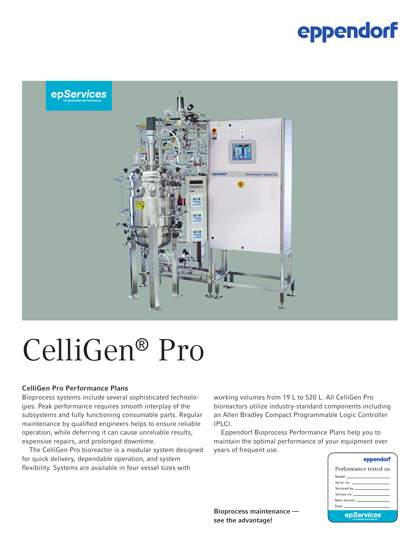### eppendorf



# CelliGen® Pro

#### CelliGen Pro Performance Plans

Bioprocess systems include several sophisticated technologies. Peak performance requires smooth interplay of the subsystems and fully functioning consumable parts. Regular maintenance by qualified engineers helps to ensure reliable operation, while deferring it can cause unreliable results, expensive repairs, and prolonged downtime.

The CelliGen Pro bioreactor is a modular system designed for quick delivery, dependable operation, and system flexibility. Systems are available in four vessel sizes with

working volumes from 19 L to 520 L. All CelliGen Pro bioreactors utilize industry-standard components including an Allen Bradley Compact Programmable Logic Controller (PLC).

Eppendorf Bioprocess Performance Plans help you to maintain the optimal performance of your equipment over years of frequent use.

| eppendorf                                                                                                       |
|-----------------------------------------------------------------------------------------------------------------|
| Performance tested on                                                                                           |
| Model: _______________________                                                                                  |
|                                                                                                                 |
|                                                                                                                 |
| Service no.: All and the contract of the service of the service                                                 |
|                                                                                                                 |
| Date: The Committee of the Committee of the Committee of the Committee of the Committee of the Committee of the |
| epServices                                                                                                      |

Bioprocess maintenance see the advantage!